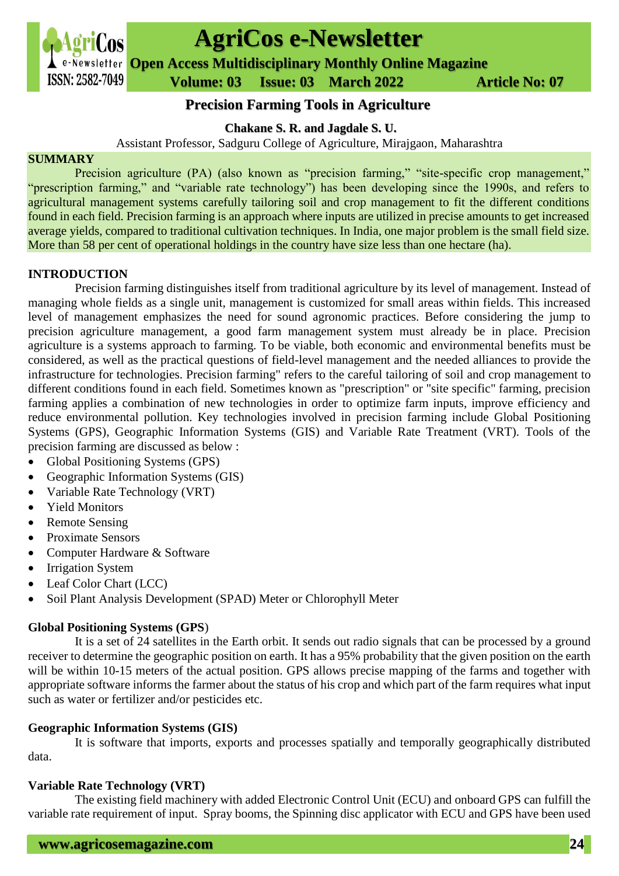

# **AgriCos e-Newsletter**

**Open Access Multidisciplinary Monthly Online Magazine**

 **ISSN: 2582-7049 Volume: 03 Issue: 03 March 2022 Article No: 07** 

# **Precision Farming Tools in Agriculture**

**Chakane S. R. and Jagdale S. U.**

Assistant Professor, Sadguru College of Agriculture, Mirajgaon, Maharashtra

#### **SUMMARY**

Precision agriculture (PA) (also known as "precision farming," "site-specific crop management," "prescription farming," and "variable rate technology") has been developing since the 1990s, and refers to agricultural management systems carefully tailoring soil and crop management to fit the different conditions found in each field. Precision farming is an approach where inputs are utilized in precise amounts to get increased average yields, compared to traditional cultivation techniques. In India, one major problem is the small field size. More than 58 per cent of operational holdings in the country have size less than one hectare (ha).

### **INTRODUCTION**

Precision farming distinguishes itself from traditional agriculture by its level of management. Instead of managing whole fields as a single unit, management is customized for small areas within fields. This increased level of management emphasizes the need for sound agronomic practices. Before considering the jump to precision agriculture management, a good farm management system must already be in place. Precision agriculture is a systems approach to farming. To be viable, both economic and environmental benefits must be considered, as well as the practical questions of field-level management and the needed alliances to provide the infrastructure for technologies. Precision farming" refers to the careful tailoring of soil and crop management to different conditions found in each field. Sometimes known as "prescription" or "site specific" farming, precision farming applies a combination of new technologies in order to optimize farm inputs, improve efficiency and reduce environmental pollution. Key technologies involved in precision farming include Global Positioning Systems (GPS), Geographic Information Systems (GIS) and Variable Rate Treatment (VRT). Tools of the precision farming are discussed as below :

- Global Positioning Systems (GPS)
- Geographic Information Systems (GIS)
- Variable Rate Technology (VRT)
- Yield Monitors
- Remote Sensing
- Proximate Sensors
- Computer Hardware & Software
- Irrigation System
- Leaf Color Chart (LCC)
- Soil Plant Analysis Development (SPAD) Meter or Chlorophyll Meter

# **Global Positioning Systems (GPS**)

It is a set of 24 satellites in the Earth orbit. It sends out radio signals that can be processed by a ground receiver to determine the geographic position on earth. It has a 95% probability that the given position on the earth will be within 10-15 meters of the actual position. GPS allows precise mapping of the farms and together with appropriate software informs the farmer about the status of his crop and which part of the farm requires what input such as water or fertilizer and/or pesticides etc.

# **Geographic Information Systems (GIS)**

It is software that imports, exports and processes spatially and temporally geographically distributed data.

# **Variable Rate Technology (VRT)**

The existing field machinery with added Electronic Control Unit (ECU) and onboard GPS can fulfill the variable rate requirement of input. Spray booms, the Spinning disc applicator with ECU and GPS have been used